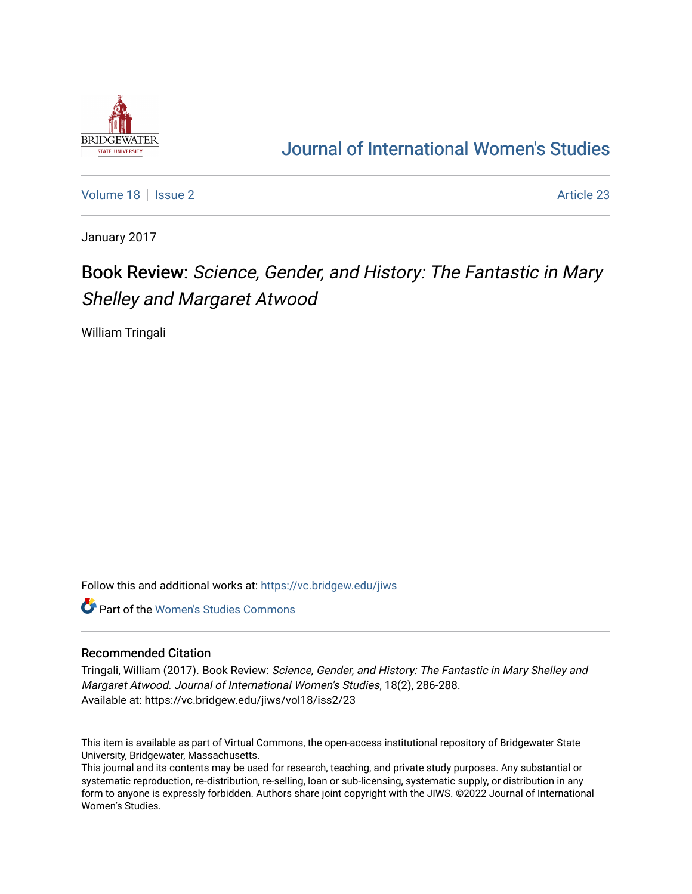

## [Journal of International Women's Studies](https://vc.bridgew.edu/jiws)

[Volume 18](https://vc.bridgew.edu/jiws/vol18) | [Issue 2](https://vc.bridgew.edu/jiws/vol18/iss2) Article 23

January 2017

# Book Review: Science, Gender, and History: The Fantastic in Mary Shelley and Margaret Atwood

William Tringali

Follow this and additional works at: [https://vc.bridgew.edu/jiws](https://vc.bridgew.edu/jiws?utm_source=vc.bridgew.edu%2Fjiws%2Fvol18%2Fiss2%2F23&utm_medium=PDF&utm_campaign=PDFCoverPages)

**C** Part of the Women's Studies Commons

#### Recommended Citation

Tringali, William (2017). Book Review: Science, Gender, and History: The Fantastic in Mary Shelley and Margaret Atwood. Journal of International Women's Studies, 18(2), 286-288. Available at: https://vc.bridgew.edu/jiws/vol18/iss2/23

This item is available as part of Virtual Commons, the open-access institutional repository of Bridgewater State University, Bridgewater, Massachusetts.

This journal and its contents may be used for research, teaching, and private study purposes. Any substantial or systematic reproduction, re-distribution, re-selling, loan or sub-licensing, systematic supply, or distribution in any form to anyone is expressly forbidden. Authors share joint copyright with the JIWS. ©2022 Journal of International Women's Studies.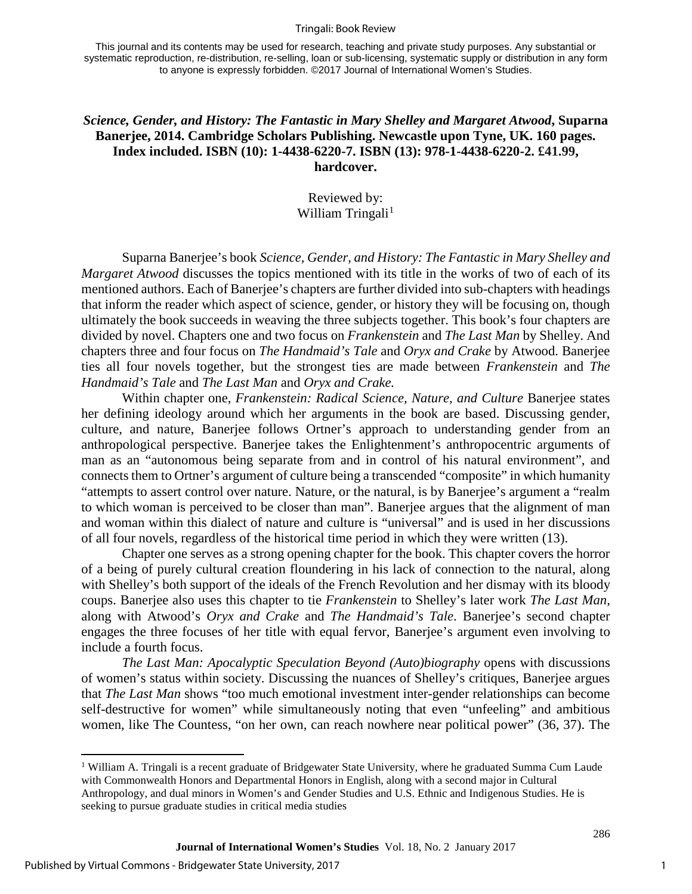#### Tringali: Book Review

This journal and its contents may be used for research, teaching and private study purposes. Any substantial or systematic reproduction, re-distribution, re-selling, loan or sub-licensing, systematic supply or distribution in any form to anyone is expressly forbidden. ©2017 Journal of International Women's Studies.

### *Science, Gender, and History: The Fantastic in Mary Shelley and Margaret Atwood***, Suparna Banerjee, 2014. Cambridge Scholars Publishing. Newcastle upon Tyne, UK. 160 pages. Index included. ISBN (10): 1-4438-6220-7. ISBN (13): 978-1-4438-6220-2. £41.99, hardcover.**

## Reviewed by: William Tringali $<sup>1</sup>$  $<sup>1</sup>$  $<sup>1</sup>$ </sup>

Suparna Banerjee's book *Science, Gender, and History: The Fantastic in Mary Shelley and Margaret Atwood* discusses the topics mentioned with its title in the works of two of each of its mentioned authors. Each of Banerjee's chapters are further divided into sub-chapters with headings that inform the reader which aspect of science, gender, or history they will be focusing on, though ultimately the book succeeds in weaving the three subjects together. This book's four chapters are divided by novel. Chapters one and two focus on *Frankenstein* and *The Last Man* by Shelley. And chapters three and four focus on *The Handmaid's Tale* and *Oryx and Crake* by Atwood. Banerjee ties all four novels together, but the strongest ties are made between *Frankenstein* and *The Handmaid's Tale* and *The Last Man* and *Oryx and Crake.*

Within chapter one, *Frankenstein: Radical Science, Nature, and Culture* Banerjee states her defining ideology around which her arguments in the book are based. Discussing gender, culture, and nature, Banerjee follows Ortner's approach to understanding gender from an anthropological perspective. Banerjee takes the Enlightenment's anthropocentric arguments of man as an "autonomous being separate from and in control of his natural environment", and connects them to Ortner's argument of culture being a transcended "composite" in which humanity "attempts to assert control over nature. Nature, or the natural, is by Banerjee's argument a "realm to which woman is perceived to be closer than man". Banerjee argues that the alignment of man and woman within this dialect of nature and culture is "universal" and is used in her discussions of all four novels, regardless of the historical time period in which they were written (13).

Chapter one serves as a strong opening chapter for the book. This chapter covers the horror of a being of purely cultural creation floundering in his lack of connection to the natural, along with Shelley's both support of the ideals of the French Revolution and her dismay with its bloody coups. Banerjee also uses this chapter to tie *Frankenstein* to Shelley's later work *The Last Man*, along with Atwood's *Oryx and Crake* and *The Handmaid's Tale*. Banerjee's second chapter engages the three focuses of her title with equal fervor, Banerjee's argument even involving to include a fourth focus.

*The Last Man: Apocalyptic Speculation Beyond (Auto)biography* opens with discussions of women's status within society. Discussing the nuances of Shelley's critiques, Banerjee argues that *The Last Man* shows "too much emotional investment inter-gender relationships can become self-destructive for women" while simultaneously noting that even "unfeeling" and ambitious women, like The Countess, "on her own, can reach nowhere near political power" (36, 37). The

l

286

<span id="page-1-0"></span><sup>&</sup>lt;sup>1</sup> William A. Tringali is a recent graduate of Bridgewater State University, where he graduated Summa Cum Laude with Commonwealth Honors and Departmental Honors in English, along with a second major in Cultural Anthropology, and dual minors in Women's and Gender Studies and U.S. Ethnic and Indigenous Studies. He is seeking to pursue graduate studies in critical media studies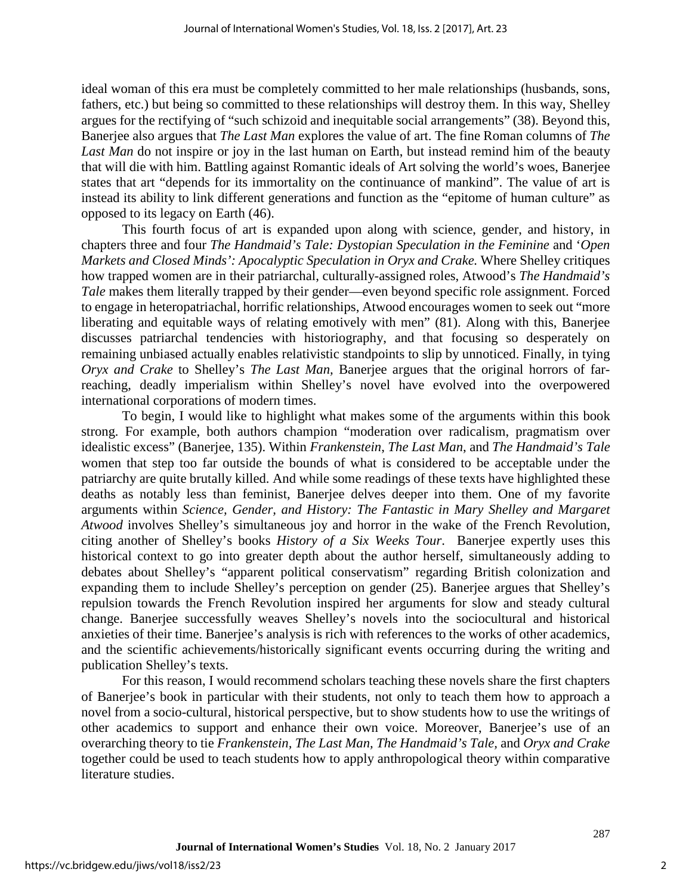ideal woman of this era must be completely committed to her male relationships (husbands, sons, fathers, etc.) but being so committed to these relationships will destroy them. In this way, Shelley argues for the rectifying of "such schizoid and inequitable social arrangements" (38). Beyond this, Banerjee also argues that *The Last Man* explores the value of art. The fine Roman columns of *The Last Man* do not inspire or joy in the last human on Earth, but instead remind him of the beauty that will die with him. Battling against Romantic ideals of Art solving the world's woes, Banerjee states that art "depends for its immortality on the continuance of mankind". The value of art is instead its ability to link different generations and function as the "epitome of human culture" as opposed to its legacy on Earth (46).

This fourth focus of art is expanded upon along with science, gender, and history, in chapters three and four *The Handmaid's Tale: Dystopian Speculation in the Feminine* and '*Open Markets and Closed Minds': Apocalyptic Speculation in Oryx and Crake.* Where Shelley critiques how trapped women are in their patriarchal, culturally-assigned roles, Atwood's *The Handmaid's Tale* makes them literally trapped by their gender—even beyond specific role assignment. Forced to engage in heteropatriachal, horrific relationships, Atwood encourages women to seek out "more liberating and equitable ways of relating emotively with men" (81). Along with this, Banerjee discusses patriarchal tendencies with historiography, and that focusing so desperately on remaining unbiased actually enables relativistic standpoints to slip by unnoticed. Finally, in tying *Oryx and Crake* to Shelley's *The Last Man,* Banerjee argues that the original horrors of farreaching, deadly imperialism within Shelley's novel have evolved into the overpowered international corporations of modern times.

To begin, I would like to highlight what makes some of the arguments within this book strong. For example, both authors champion "moderation over radicalism, pragmatism over idealistic excess" (Banerjee, 135). Within *Frankenstein*, *The Last Man*, and *The Handmaid's Tale*  women that step too far outside the bounds of what is considered to be acceptable under the patriarchy are quite brutally killed. And while some readings of these texts have highlighted these deaths as notably less than feminist, Banerjee delves deeper into them. One of my favorite arguments within *Science, Gender, and History: The Fantastic in Mary Shelley and Margaret Atwood* involves Shelley's simultaneous joy and horror in the wake of the French Revolution, citing another of Shelley's books *History of a Six Weeks Tour*. Banerjee expertly uses this historical context to go into greater depth about the author herself, simultaneously adding to debates about Shelley's "apparent political conservatism" regarding British colonization and expanding them to include Shelley's perception on gender (25). Banerjee argues that Shelley's repulsion towards the French Revolution inspired her arguments for slow and steady cultural change. Banerjee successfully weaves Shelley's novels into the sociocultural and historical anxieties of their time. Banerjee's analysis is rich with references to the works of other academics, and the scientific achievements/historically significant events occurring during the writing and publication Shelley's texts.

For this reason, I would recommend scholars teaching these novels share the first chapters of Banerjee's book in particular with their students, not only to teach them how to approach a novel from a socio-cultural, historical perspective, but to show students how to use the writings of other academics to support and enhance their own voice. Moreover, Banerjee's use of an overarching theory to tie *Frankenstein, The Last Man, The Handmaid's Tale,* and *Oryx and Crake*  together could be used to teach students how to apply anthropological theory within comparative literature studies.

287